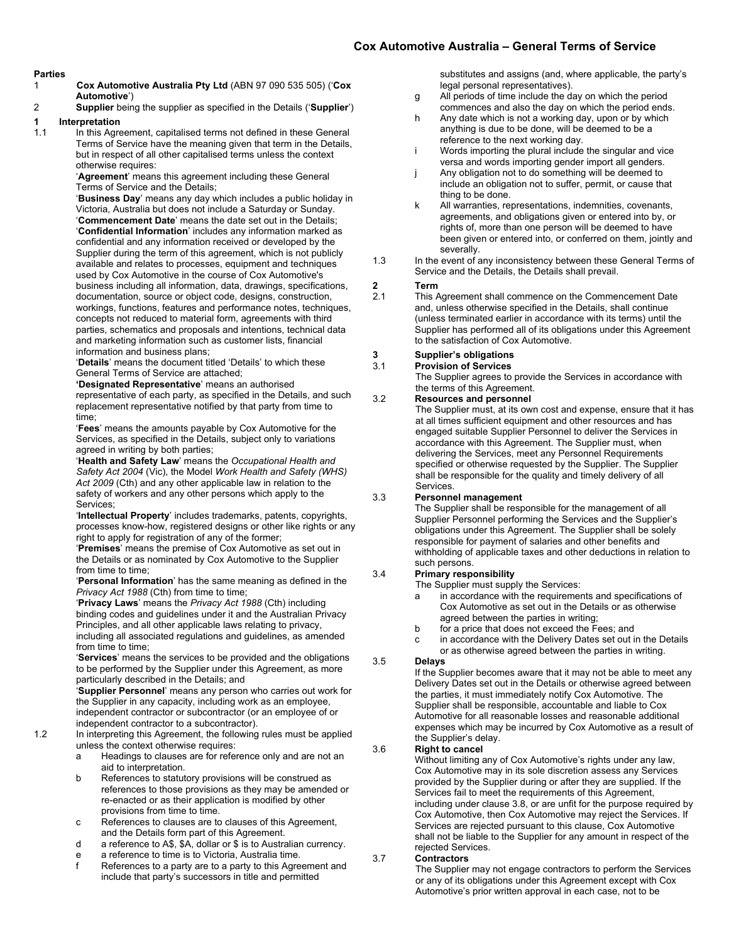#### **Parties**

- 1 **Cox Automotive Australia Pty Ltd** (ABN 97 090 535 505) ('**Cox Automotive**')
- 2 **Supplier** being the supplier as specified in the Details ('**Supplier**')

## **1 Interpretation**

In this Agreement, capitalised terms not defined in these General Terms of Service have the meaning given that term in the Details, but in respect of all other capitalised terms unless the context otherwise requires:

'**Agreement**' means this agreement including these General Terms of Service and the Details;

'**Business Day**' means any day which includes a public holiday in Victoria, Australia but does not include a Saturday or Sunday. '**Commencement Date**' means the date set out in the Details; '**Confidential Information**' includes any information marked as confidential and any information received or developed by the Supplier during the term of this agreement, which is not publicly available and relates to processes, equipment and techniques used by Cox Automotive in the course of Cox Automotive's business including all information, data, drawings, specifications, documentation, source or object code, designs, construction, workings, functions, features and performance notes, techniques, concepts not reduced to material form, agreements with third parties, schematics and proposals and intentions, technical data and marketing information such as customer lists, financial information and business plans;

'**Details**' means the document titled 'Details' to which these General Terms of Service are attached;

**'Designated Representative**' means an authorised representative of each party, as specified in the Details, and such replacement representative notified by that party from time to time;

'**Fees**' means the amounts payable by Cox Automotive for the Services, as specified in the Details, subject only to variations agreed in writing by both parties;

'**Health and Safety Law**' means the *Occupational Health and Safety Act 2004* (Vic), the Model *Work Health and Safety (WHS) Act 2009* (Cth) and any other applicable law in relation to the safety of workers and any other persons which apply to the Services;

'**Intellectual Property**' includes trademarks, patents, copyrights, processes know-how, registered designs or other like rights or any right to apply for registration of any of the former;

'**Premises**' means the premise of Cox Automotive as set out in the Details or as nominated by Cox Automotive to the Supplier from time to time;

'**Personal Information**' has the same meaning as defined in the *Privacy Act 1988* (Cth) from time to time;

'**Privacy Laws**' means the *Privacy Act 1988* (Cth) including binding codes and guidelines under it and the Australian Privacy Principles, and all other applicable laws relating to privacy, including all associated regulations and guidelines, as amended from time to time;

'**Services**' means the services to be provided and the obligations to be performed by the Supplier under this Agreement, as more particularly described in the Details; and

'**Supplier Personnel**' means any person who carries out work for the Supplier in any capacity, including work as an employee, independent contractor or subcontractor (or an employee of or independent contractor to a subcontractor).

- 1.2 In interpreting this Agreement, the following rules must be applied unless the context otherwise requires:
	- a Headings to clauses are for reference only and are not an aid to interpretation.
	- b References to statutory provisions will be construed as references to those provisions as they may be amended or re-enacted or as their application is modified by other provisions from time to time.
	- c References to clauses are to clauses of this Agreement, and the Details form part of this Agreement.
	- d a reference to A\$, \$A, dollar or \$ is to Australian currency.
	- e a reference to time is to Victoria, Australia time.
	- f References to a party are to a party to this Agreement and include that party's successors in title and permitted

substitutes and assigns (and, where applicable, the party's legal personal representatives).

- g All periods of time include the day on which the period commences and also the day on which the period ends.
- h Any date which is not a working day, upon or by which anything is due to be done, will be deemed to be a reference to the next working day.
- Words importing the plural include the singular and vice versa and words importing gender import all genders.
- j Any obligation not to do something will be deemed to include an obligation not to suffer, permit, or cause that thing to be done.
- k All warranties, representations, indemnities, covenants, agreements, and obligations given or entered into by, or rights of, more than one person will be deemed to have been given or entered into, or conferred on them, jointly and severally.
- 1.3 In the event of any inconsistency between these General Terms of Service and the Details, the Details shall prevail.

## **2 Term**

This Agreement shall commence on the Commencement Date and, unless otherwise specified in the Details, shall continue (unless terminated earlier in accordance with its terms) until the Supplier has performed all of its obligations under this Agreement to the satisfaction of Cox Automotive.

## **3 Supplier's obligations**

#### 3.1 **Provision of Services**

The Supplier agrees to provide the Services in accordance with the terms of this Agreement.

### 3.2 **Resources and personnel**

The Supplier must, at its own cost and expense, ensure that it has at all times sufficient equipment and other resources and has engaged suitable Supplier Personnel to deliver the Services in accordance with this Agreement. The Supplier must, when delivering the Services, meet any Personnel Requirements specified or otherwise requested by the Supplier. The Supplier shall be responsible for the quality and timely delivery of all Services.

3.3 **Personnel management**

The Supplier shall be responsible for the management of all Supplier Personnel performing the Services and the Supplier's obligations under this Agreement. The Supplier shall be solely responsible for payment of salaries and other benefits and withholding of applicable taxes and other deductions in relation to such persons.

#### 3.4 **Primary responsibility**

The Supplier must supply the Services:

- a in accordance with the requirements and specifications of Cox Automotive as set out in the Details or as otherwise agreed between the parties in writing;
- b for a price that does not exceed the Fees; and
	- c in accordance with the Delivery Dates set out in the Details or as otherwise agreed between the parties in writing.

### 3.5 **Delays**

If the Supplier becomes aware that it may not be able to meet any Delivery Dates set out in the Details or otherwise agreed between the parties, it must immediately notify Cox Automotive. The Supplier shall be responsible, accountable and liable to Cox Automotive for all reasonable losses and reasonable additional expenses which may be incurred by Cox Automotive as a result of the Supplier's delay.

#### 3.6 **Right to cancel**

Without limiting any of Cox Automotive's rights under any law, Cox Automotive may in its sole discretion assess any Services provided by the Supplier during or after they are supplied. If the Services fail to meet the requirements of this Agreement, including under claus[e 3.8,](#page-1-0) or are unfit for the purpose required by Cox Automotive, then Cox Automotive may reject the Services. If Services are rejected pursuant to this clause, Cox Automotive shall not be liable to the Supplier for any amount in respect of the rejected Services.

#### 3.7 **Contractors**

The Supplier may not engage contractors to perform the Services or any of its obligations under this Agreement except with Cox Automotive's prior written approval in each case, not to be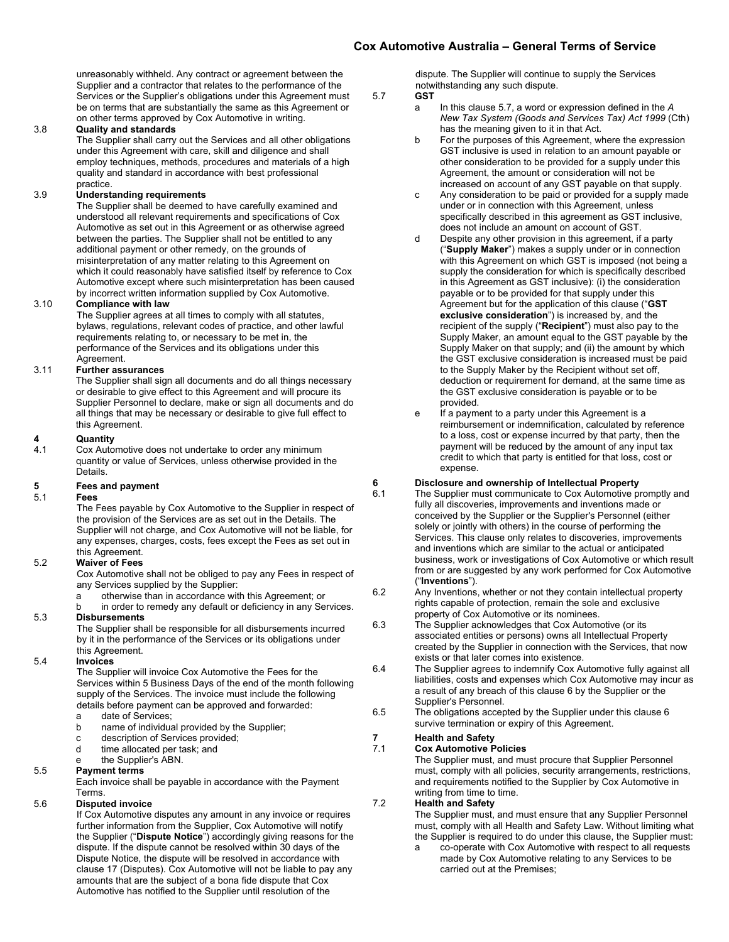unreasonably withheld. Any contract or agreement between the Supplier and a contractor that relates to the performance of the Services or the Supplier's obligations under this Agreement must be on terms that are substantially the same as this Agreement or on other terms approved by Cox Automotive in writing.

#### <span id="page-1-0"></span>3.8 **Quality and standards**

The Supplier shall carry out the Services and all other obligations under this Agreement with care, skill and diligence and shall employ techniques, methods, procedures and materials of a high quality and standard in accordance with best professional practice.

#### 3.9 **Understanding requirements**

The Supplier shall be deemed to have carefully examined and understood all relevant requirements and specifications of Cox Automotive as set out in this Agreement or as otherwise agreed between the parties. The Supplier shall not be entitled to any additional payment or other remedy, on the grounds of misinterpretation of any matter relating to this Agreement on which it could reasonably have satisfied itself by reference to Cox Automotive except where such misinterpretation has been caused by incorrect written information supplied by Cox Automotive.

#### 3.10 **Compliance with law**

The Supplier agrees at all times to comply with all statutes, bylaws, regulations, relevant codes of practice, and other lawful requirements relating to, or necessary to be met in, the performance of the Services and its obligations under this .<br>Agreement.

#### 3.11 **Further assurances**

The Supplier shall sign all documents and do all things necessary or desirable to give effect to this Agreement and will procure its Supplier Personnel to declare, make or sign all documents and do all things that may be necessary or desirable to give full effect to this Agreement.

## **4 Quantity**

Cox Automotive does not undertake to order any minimum quantity or value of Services, unless otherwise provided in the Details.

# **5 Fees and payment**

#### 5.1 **Fees**

The Fees payable by Cox Automotive to the Supplier in respect of the provision of the Services are as set out in the Details. The Supplier will not charge, and Cox Automotive will not be liable, for any expenses, charges, costs, fees except the Fees as set out in this Agreement.

#### 5.2 **Waiver of Fees**

Cox Automotive shall not be obliged to pay any Fees in respect of any Services supplied by the Supplier:

- otherwise than in accordance with this Agreement; or
- b in order to remedy any default or deficiency in any Services. 5.3 **Disbursements** The Supplier shall be responsible for all disbursements incurred

by it in the performance of the Services or its obligations under this Agreement.

#### 5.4 **Invoices**

The Supplier will invoice Cox Automotive the Fees for the Services within 5 Business Days of the end of the month following supply of the Services. The invoice must include the following details before payment can be approved and forwarded:

- a date of Services;
- b name of individual provided by the Supplier;<br>c description of Services provided;
- c description of Services provided;<br>d time allocated per task: and
- time allocated per task; and

### the Supplier's ABN.

### 5.5 **Payment terms**

Each invoice shall be payable in accordance with the Payment Terms.

#### 5.6 **Disputed invoice**

If Cox Automotive disputes any amount in any invoice or requires further information from the Supplier, Cox Automotive will notify the Supplier ("**Dispute Notice**") accordingly giving reasons for the dispute. If the dispute cannot be resolved within 30 days of the Dispute Notice, the dispute will be resolved in accordance with claus[e 17](#page-3-0) (Disputes). Cox Automotive will not be liable to pay any amounts that are the subject of a bona fide dispute that Cox Automotive has notified to the Supplier until resolution of the

dispute. The Supplier will continue to supply the Services notwithstanding any such dispute.

## <span id="page-1-1"></span>5.7 **GST**

- a In this claus[e 5.7,](#page-1-1) a word or expression defined in the *A New Tax System (Goods and Services Tax) Act 1999* (Cth) has the meaning given to it in that Act.
- b For the purposes of this Agreement, where the expression GST inclusive is used in relation to an amount payable or other consideration to be provided for a supply under this Agreement, the amount or consideration will not be increased on account of any GST payable on that supply.
- c Any consideration to be paid or provided for a supply made under or in connection with this Agreement, unless specifically described in this agreement as GST inclusive, does not include an amount on account of GST.
- d Despite any other provision in this agreement, if a party ("**Supply Maker**") makes a supply under or in connection with this Agreement on which GST is imposed (not being a supply the consideration for which is specifically described in this Agreement as GST inclusive): (i) the consideration payable or to be provided for that supply under this Agreement but for the application of this clause ("**GST exclusive consideration**") is increased by, and the recipient of the supply ("**Recipient**") must also pay to the Supply Maker, an amount equal to the GST payable by the Supply Maker on that supply; and (ii) the amount by which the GST exclusive consideration is increased must be paid to the Supply Maker by the Recipient without set off, deduction or requirement for demand, at the same time as the GST exclusive consideration is payable or to be provided.
- e If a payment to a party under this Agreement is a reimbursement or indemnification, calculated by reference to a loss, cost or expense incurred by that party, then the payment will be reduced by the amount of any input tax credit to which that party is entitled for that loss, cost or expense.

## <span id="page-1-2"></span>**6 Disclosure and ownership of Intellectual Property**

- The Supplier must communicate to Cox Automotive promptly and fully all discoveries, improvements and inventions made or conceived by the Supplier or the Supplier's Personnel (either solely or jointly with others) in the course of performing the Services. This clause only relates to discoveries, improvements and inventions which are similar to the actual or anticipated business, work or investigations of Cox Automotive or which result from or are suggested by any work performed for Cox Automotive ("**Inventions**").
- 6.2 Any Inventions, whether or not they contain intellectual property rights capable of protection, remain the sole and exclusive property of Cox Automotive or its nominees.
- 6.3 The Supplier acknowledges that Cox Automotive (or its associated entities or persons) owns all Intellectual Property created by the Supplier in connection with the Services, that now exists or that later comes into existence.
- 6.4 The Supplier agrees to indemnify Cox Automotive fully against all liabilities, costs and expenses which Cox Automotive may incur as a result of any breach of this claus[e 6](#page-1-2) by the Supplier or the Supplier's Personnel.
- 6.5 The obligations accepted by the Supplier under this clause [6](#page-1-2) survive termination or expiry of this Agreement.

# **7 Health and Safety**

#### 7.1 **Cox Automotive Policies**

The Supplier must, and must procure that Supplier Personnel must, comply with all policies, security arrangements, restrictions, and requirements notified to the Supplier by Cox Automotive in writing from time to time.

### 7.2 **Health and Safety**

The Supplier must, and must ensure that any Supplier Personnel must, comply with all Health and Safety Law. Without limiting what the Supplier is required to do under this clause, the Supplier must:

a co-operate with Cox Automotive with respect to all requests made by Cox Automotive relating to any Services to be carried out at the Premises;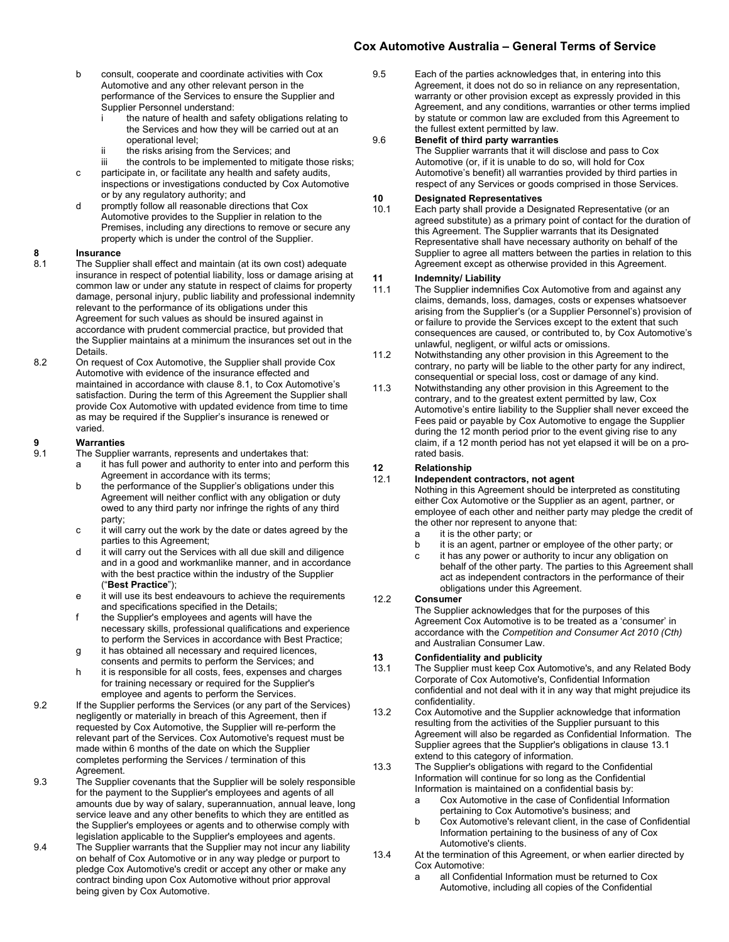- b consult, cooperate and coordinate activities with Cox Automotive and any other relevant person in the performance of the Services to ensure the Supplier and Supplier Personnel understand:
	- the nature of health and safety obligations relating to the Services and how they will be carried out at an operational level;
	- ii the risks arising from the Services; and
	- iii the controls to be implemented to mitigate those risks;
- c participate in, or facilitate any health and safety audits, inspections or investigations conducted by Cox Automotive or by any regulatory authority; and
- d promptly follow all reasonable directions that Cox Automotive provides to the Supplier in relation to the Premises, including any directions to remove or secure any property which is under the control of the Supplier.

# **8 Insurance**

- The Supplier shall effect and maintain (at its own cost) adequate insurance in respect of potential liability, loss or damage arising at common law or under any statute in respect of claims for property damage, personal injury, public liability and professional indemnity relevant to the performance of its obligations under this Agreement for such values as should be insured against in accordance with prudent commercial practice, but provided that the Supplier maintains at a minimum the insurances set out in the **Details**
- 8.2 On request of Cox Automotive, the Supplier shall provide Cox Automotive with evidence of the insurance effected and maintained in accordance with clause 8.1, to Cox Automotive's satisfaction. During the term of this Agreement the Supplier shall provide Cox Automotive with updated evidence from time to time as may be required if the Supplier's insurance is renewed or varied.

## **9 Warranties**

- The Supplier warrants, represents and undertakes that:
	- a it has full power and authority to enter into and perform this Agreement in accordance with its terms;
	- b the performance of the Supplier's obligations under this Agreement will neither conflict with any obligation or duty owed to any third party nor infringe the rights of any third party;
	- c it will carry out the work by the date or dates agreed by the parties to this Agreement;
	- d it will carry out the Services with all due skill and diligence and in a good and workmanlike manner, and in accordance with the best practice within the industry of the Supplier ("**Best Practice**");
	- e it will use its best endeavours to achieve the requirements and specifications specified in the Details;
	- f the Supplier's employees and agents will have the necessary skills, professional qualifications and experience to perform the Services in accordance with Best Practice;
	- g it has obtained all necessary and required licences, consents and permits to perform the Services; and
	- h it is responsible for all costs, fees, expenses and charges for training necessary or required for the Supplier's employee and agents to perform the Services.
- 9.2 If the Supplier performs the Services (or any part of the Services) negligently or materially in breach of this Agreement, then if requested by Cox Automotive, the Supplier will re-perform the relevant part of the Services. Cox Automotive's request must be made within 6 months of the date on which the Supplier completes performing the Services / termination of this Agreement.
- 9.3 The Supplier covenants that the Supplier will be solely responsible for the payment to the Supplier's employees and agents of all amounts due by way of salary, superannuation, annual leave, long service leave and any other benefits to which they are entitled as the Supplier's employees or agents and to otherwise comply with legislation applicable to the Supplier's employees and agents.
- 9.4 The Supplier warrants that the Supplier may not incur any liability on behalf of Cox Automotive or in any way pledge or purport to pledge Cox Automotive's credit or accept any other or make any contract binding upon Cox Automotive without prior approval being given by Cox Automotive.

9.5 Each of the parties acknowledges that, in entering into this Agreement, it does not do so in reliance on any representation, warranty or other provision except as expressly provided in this Agreement, and any conditions, warranties or other terms implied by statute or common law are excluded from this Agreement to the fullest extent permitted by law.

### 9.6 **Benefit of third party warranties**

The Supplier warrants that it will disclose and pass to Cox Automotive (or, if it is unable to do so, will hold for Cox Automotive's benefit) all warranties provided by third parties in respect of any Services or goods comprised in those Services.

### **10 Designated Representatives**

Each party shall provide a Designated Representative (or an agreed substitute) as a primary point of contact for the duration of this Agreement. The Supplier warrants that its Designated Representative shall have necessary authority on behalf of the Supplier to agree all matters between the parties in relation to this Agreement except as otherwise provided in this Agreement.

# **11 Indemnity/ Liability**

- The Supplier indemnifies Cox Automotive from and against any claims, demands, loss, damages, costs or expenses whatsoever arising from the Supplier's (or a Supplier Personnel's) provision of or failure to provide the Services except to the extent that such consequences are caused, or contributed to, by Cox Automotive's unlawful, negligent, or wilful acts or omissions.
- 11.2 Notwithstanding any other provision in this Agreement to the contrary, no party will be liable to the other party for any indirect, consequential or special loss, cost or damage of any kind.
- 11.3 Notwithstanding any other provision in this Agreement to the contrary, and to the greatest extent permitted by law, Cox Automotive's entire liability to the Supplier shall never exceed the Fees paid or payable by Cox Automotive to engage the Supplier during the 12 month period prior to the event giving rise to any claim, if a 12 month period has not yet elapsed it will be on a prorated basis.

#### **12 Relationship**

#### 12.1 **Independent contractors, not agent**

Nothing in this Agreement should be interpreted as constituting either Cox Automotive or the Supplier as an agent, partner, or employee of each other and neither party may pledge the credit of the other nor represent to anyone that:

- a it is the other party; or
- b it is an agent, partner or employee of the other party; or
- c it has any power or authority to incur any obligation on behalf of the other party. The parties to this Agreement shall act as independent contractors in the performance of their obligations under this Agreement.

#### 12.2 **Consumer**

The Supplier acknowledges that for the purposes of this Agreement Cox Automotive is to be treated as a 'consumer' in accordance with the *Competition and Consumer Act 2010 (Cth)* and Australian Consumer Law.

# **13 Confidentiality and publicity**<br>**13.1** The Supplier must keep Cox A

- The Supplier must keep Cox Automotive's, and any Related Body Corporate of Cox Automotive's, Confidential Information confidential and not deal with it in any way that might prejudice its confidentiality.
- 13.2 Cox Automotive and the Supplier acknowledge that information resulting from the activities of the Supplier pursuant to this Agreement will also be regarded as Confidential Information. The Supplier agrees that the Supplier's obligations in clause 13.1 extend to this category of information.
- 13.3 The Supplier's obligations with regard to the Confidential Information will continue for so long as the Confidential Information is maintained on a confidential basis by:
	- a Cox Automotive in the case of Confidential Information pertaining to Cox Automotive's business; and
	- b Cox Automotive's relevant client, in the case of Confidential Information pertaining to the business of any of Cox Automotive's clients.
- 13.4 At the termination of this Agreement, or when earlier directed by Cox Automotive:
	- a all Confidential Information must be returned to Cox Automotive, including all copies of the Confidential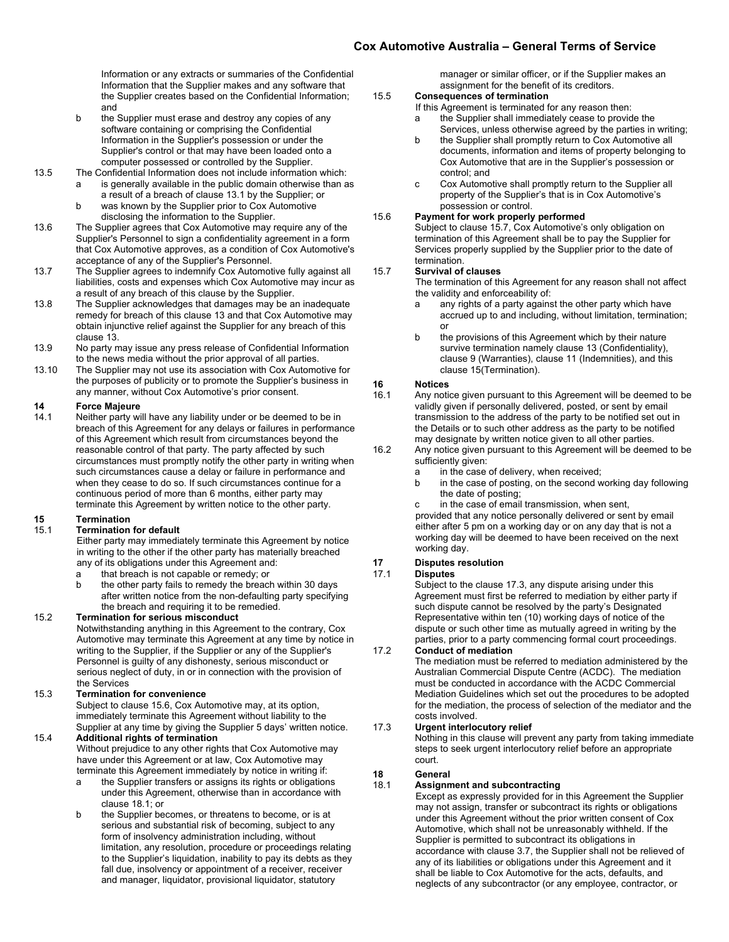Information or any extracts or summaries of the Confidential Information that the Supplier makes and any software that the Supplier creates based on the Confidential Information; and

- b the Supplier must erase and destroy any copies of any software containing or comprising the Confidential Information in the Supplier's possession or under the Supplier's control or that may have been loaded onto a computer possessed or controlled by the Supplier.
- 13.5 The Confidential Information does not include information which: is generally available in the public domain otherwise than as a result of a breach of clause 13.1 by the Supplier; or
	- b was known by the Supplier prior to Cox Automotive disclosing the information to the Supplier.
- 13.6 The Supplier agrees that Cox Automotive may require any of the Supplier's Personnel to sign a confidentiality agreement in a form that Cox Automotive approves, as a condition of Cox Automotive's acceptance of any of the Supplier's Personnel.
- 13.7 The Supplier agrees to indemnify Cox Automotive fully against all liabilities, costs and expenses which Cox Automotive may incur as a result of any breach of this clause by the Supplier.
- 13.8 The Supplier acknowledges that damages may be an inadequate remedy for breach of this clause 13 and that Cox Automotive may obtain injunctive relief against the Supplier for any breach of this clause 13.
- 13.9 No party may issue any press release of Confidential Information to the news media without the prior approval of all parties.
- 13.10 The Supplier may not use its association with Cox Automotive for the purposes of publicity or to promote the Supplier's business in any manner, without Cox Automotive's prior consent.

# **14 Force Majeure**

Neither party will have any liability under or be deemed to be in breach of this Agreement for any delays or failures in performance of this Agreement which result from circumstances beyond the reasonable control of that party. The party affected by such circumstances must promptly notify the other party in writing when such circumstances cause a delay or failure in performance and when they cease to do so. If such circumstances continue for a continuous period of more than 6 months, either party may terminate this Agreement by written notice to the other party.

# **15 Termination**

#### **Termination for default**

Either party may immediately terminate this Agreement by notice in writing to the other if the other party has materially breached any of its obligations under this Agreement and:

- a that breach is not capable or remedy; or<br>b the other party fails to remedy the breach
- the other party fails to remedy the breach within 30 days after written notice from the non-defaulting party specifying the breach and requiring it to be remedied.

#### 15.2 **Termination for serious misconduct**

Notwithstanding anything in this Agreement to the contrary, Cox Automotive may terminate this Agreement at any time by notice in writing to the Supplier, if the Supplier or any of the Supplier's Personnel is guilty of any dishonesty, serious misconduct or serious neglect of duty, in or in connection with the provision of the Services

#### 15.3 **Termination for convenience**

Subject to clause 15.6, Cox Automotive may, at its option, immediately terminate this Agreement without liability to the Supplier at any time by giving the Supplier 5 days' written notice.

### 15.4 **Additional rights of termination**

Without prejudice to any other rights that Cox Automotive may have under this Agreement or at law, Cox Automotive may terminate this Agreement immediately by notice in writing if:

- a the Supplier transfers or assigns its rights or obligations under this Agreement, otherwise than in accordance with clause 18.1; or
- b the Supplier becomes, or threatens to become, or is at serious and substantial risk of becoming, subject to any form of insolvency administration including, without limitation, any resolution, procedure or proceedings relating to the Supplier's liquidation, inability to pay its debts as they fall due, insolvency or appointment of a receiver, receiver and manager, liquidator, provisional liquidator, statutory

manager or similar officer, or if the Supplier makes an assignment for the benefit of its creditors.

### 15.5 **Consequences of termination**

- If this Agreement is terminated for any reason then:
- a the Supplier shall immediately cease to provide the Services, unless otherwise agreed by the parties in writing;
- b the Supplier shall promptly return to Cox Automotive all documents, information and items of property belonging to Cox Automotive that are in the Supplier's possession or control; and
- c Cox Automotive shall promptly return to the Supplier all property of the Supplier's that is in Cox Automotive's possession or control.

### 15.6 **Payment for work properly performed**

Subject to clause 15.7, Cox Automotive's only obligation on termination of this Agreement shall be to pay the Supplier for Services properly supplied by the Supplier prior to the date of termination.

#### 15.7 **Survival of clauses**

The termination of this Agreement for any reason shall not affect the validity and enforceability of:

- a any rights of a party against the other party which have accrued up to and including, without limitation, termination; or
- b the provisions of this Agreement which by their nature survive termination namely clause 13 (Confidentiality), clause 9 (Warranties), clause 11 (Indemnities), and this clause 15(Termination).

## **16 Notices**

- Any notice given pursuant to this Agreement will be deemed to be validly given if personally delivered, posted, or sent by email transmission to the address of the party to be notified set out in the Details or to such other address as the party to be notified may designate by written notice given to all other parties.
- 16.2 Any notice given pursuant to this Agreement will be deemed to be sufficiently given:
	- a in the case of delivery, when received;<br>b in the case of posting, on the second w
	- in the case of posting, on the second working day following the date of posting;

c in the case of email transmission, when sent, provided that any notice personally delivered or sent by email either after 5 pm on a working day or on any day that is not a working day will be deemed to have been received on the next working day.

# <span id="page-3-0"></span>**17 Disputes resolution**

#### **Disputes**

Subject to the clause 17.3, any dispute arising under this Agreement must first be referred to mediation by either party if such dispute cannot be resolved by the party's Designated Representative within ten (10) working days of notice of the dispute or such other time as mutually agreed in writing by the parties, prior to a party commencing formal court proceedings.

17.2 **Conduct of mediation** 

The mediation must be referred to mediation administered by the Australian Commercial Dispute Centre (ACDC). The mediation must be conducted in accordance with the ACDC Commercial Mediation Guidelines which set out the procedures to be adopted for the mediation, the process of selection of the mediator and the costs involved.

#### 17.3 **Urgent interlocutory relief**

Nothing in this clause will prevent any party from taking immediate steps to seek urgent interlocutory relief before an appropriate court.

# **18 General**

### 18.1 **Assignment and subcontracting**

Except as expressly provided for in this Agreement the Supplier may not assign, transfer or subcontract its rights or obligations under this Agreement without the prior written consent of Cox Automotive, which shall not be unreasonably withheld. If the Supplier is permitted to subcontract its obligations in accordance with clause 3.7, the Supplier shall not be relieved of any of its liabilities or obligations under this Agreement and it shall be liable to Cox Automotive for the acts, defaults, and neglects of any subcontractor (or any employee, contractor, or